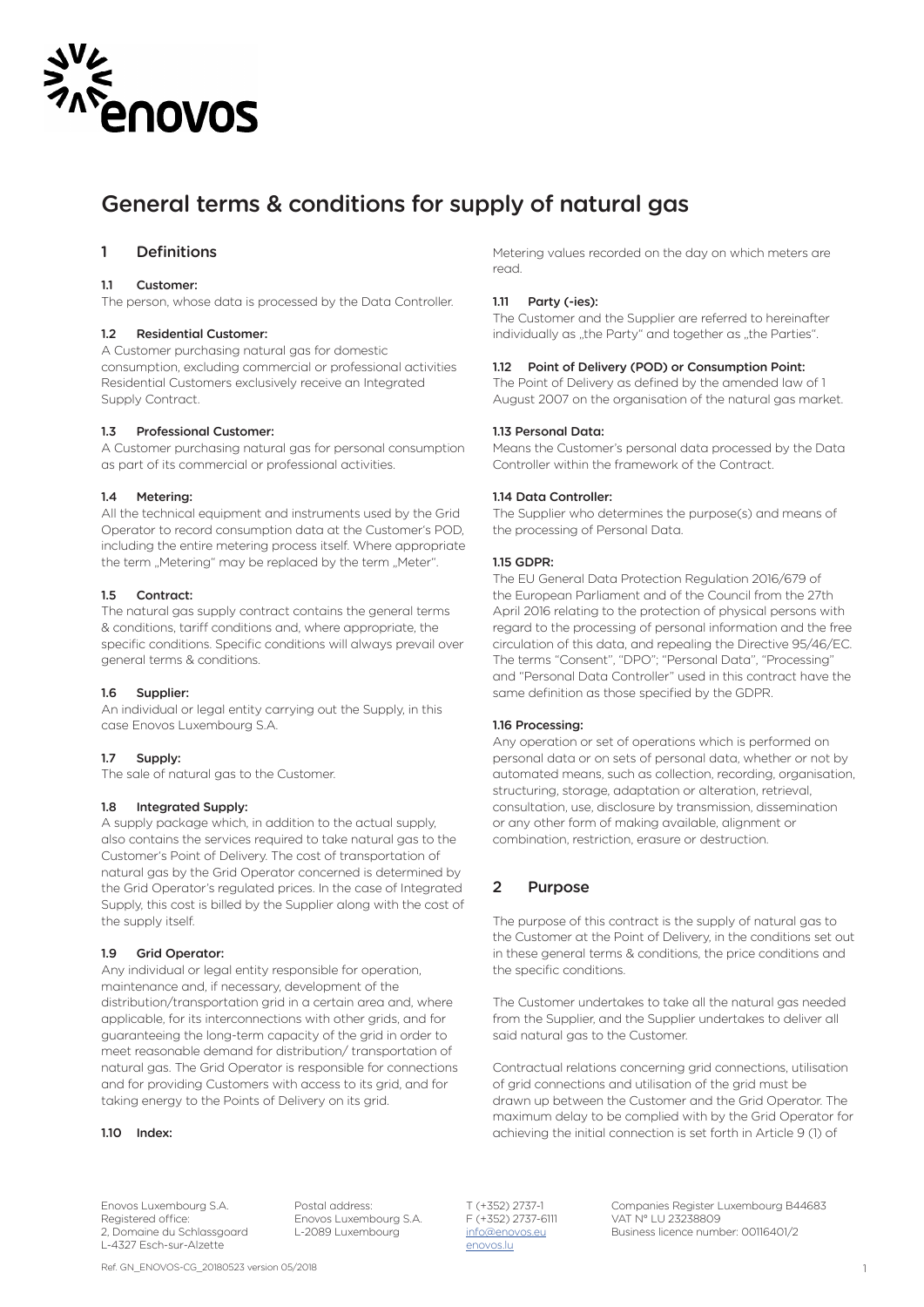

# General terms & conditions for supply of natural gas

# 1 Definitions

#### 11 Customer:

The person, whose data is processed by the Data Controller.

#### 1.2 Residential Customer:

A Customer purchasing natural gas for domestic consumption, excluding commercial or professional activities Residential Customers exclusively receive an Integrated Supply Contract.

### 1.3 Professional Customer:

A Customer purchasing natural gas for personal consumption as part of its commercial or professional activities.

#### 1.4 Metering:

All the technical equipment and instruments used by the Grid Operator to record consumption data at the Customer's POD, including the entire metering process itself. Where appropriate the term "Metering" may be replaced by the term "Meter".

#### 1.5 Contract:

The natural gas supply contract contains the general terms & conditions, tariff conditions and, where appropriate, the specific conditions. Specific conditions will always prevail over general terms & conditions.

#### 1.6 Supplier:

An individual or legal entity carrying out the Supply, in this case Enovos Luxembourg S.A.

#### 1.7 Supply:

The sale of natural gas to the Customer.

### 1.8 Integrated Supply:

A supply package which, in addition to the actual supply, also contains the services required to take natural gas to the Customer's Point of Delivery. The cost of transportation of natural gas by the Grid Operator concerned is determined by the Grid Operator's regulated prices. In the case of Integrated Supply, this cost is billed by the Supplier along with the cost of the supply itself.

#### 1.9 Grid Operator:

Any individual or legal entity responsible for operation, maintenance and, if necessary, development of the distribution/transportation grid in a certain area and, where applicable, for its interconnections with other grids, and for guaranteeing the long-term capacity of the grid in order to meet reasonable demand for distribution/ transportation of natural gas. The Grid Operator is responsible for connections and for providing Customers with access to its grid, and for taking energy to the Points of Delivery on its grid.

#### 1.10 Index:

Metering values recorded on the day on which meters are read.

#### 1.11 Party (-ies):

The Customer and the Supplier are referred to hereinafter individually as "the Party" and together as "the Parties".

### 1.12 Point of Delivery (POD) or Consumption Point:

The Point of Delivery as defined by the amended law of 1 August 2007 on the organisation of the natural gas market.

#### 1.13 Personal Data:

Means the Customer's personal data processed by the Data Controller within the framework of the Contract.

#### 1.14 Data Controller:

The Supplier who determines the purpose(s) and means of the processing of Personal Data.

#### 1.15 GDPR:

The EU General Data Protection Regulation 2016/679 of the European Parliament and of the Council from the 27th April 2016 relating to the protection of physical persons with regard to the processing of personal information and the free circulation of this data, and repealing the Directive 95/46/EC. The terms "Consent", "DPO"; "Personal Data", "Processing" and "Personal Data Controller" used in this contract have the same definition as those specified by the GDPR.

#### 1.16 Processing:

Any operation or set of operations which is performed on personal data or on sets of personal data, whether or not by automated means, such as collection, recording, organisation, structuring, storage, adaptation or alteration, retrieval, consultation, use, disclosure by transmission, dissemination or any other form of making available, alignment or combination, restriction, erasure or destruction.

### 2 Purpose

The purpose of this contract is the supply of natural gas to the Customer at the Point of Delivery, in the conditions set out in these general terms & conditions, the price conditions and the specific conditions.

The Customer undertakes to take all the natural gas needed from the Supplier, and the Supplier undertakes to deliver all said natural gas to the Customer.

Contractual relations concerning grid connections, utilisation of grid connections and utilisation of the grid must be drawn up between the Customer and the Grid Operator. The maximum delay to be complied with by the Grid Operator for achieving the initial connection is set forth in Article 9 (1) of

Registered office: Enovos Luxembourg S.A.<br>2, Domaine du Schlassgoard L-2089 Luxembourg L-4327 Esch-sur-Alzette enovos.lu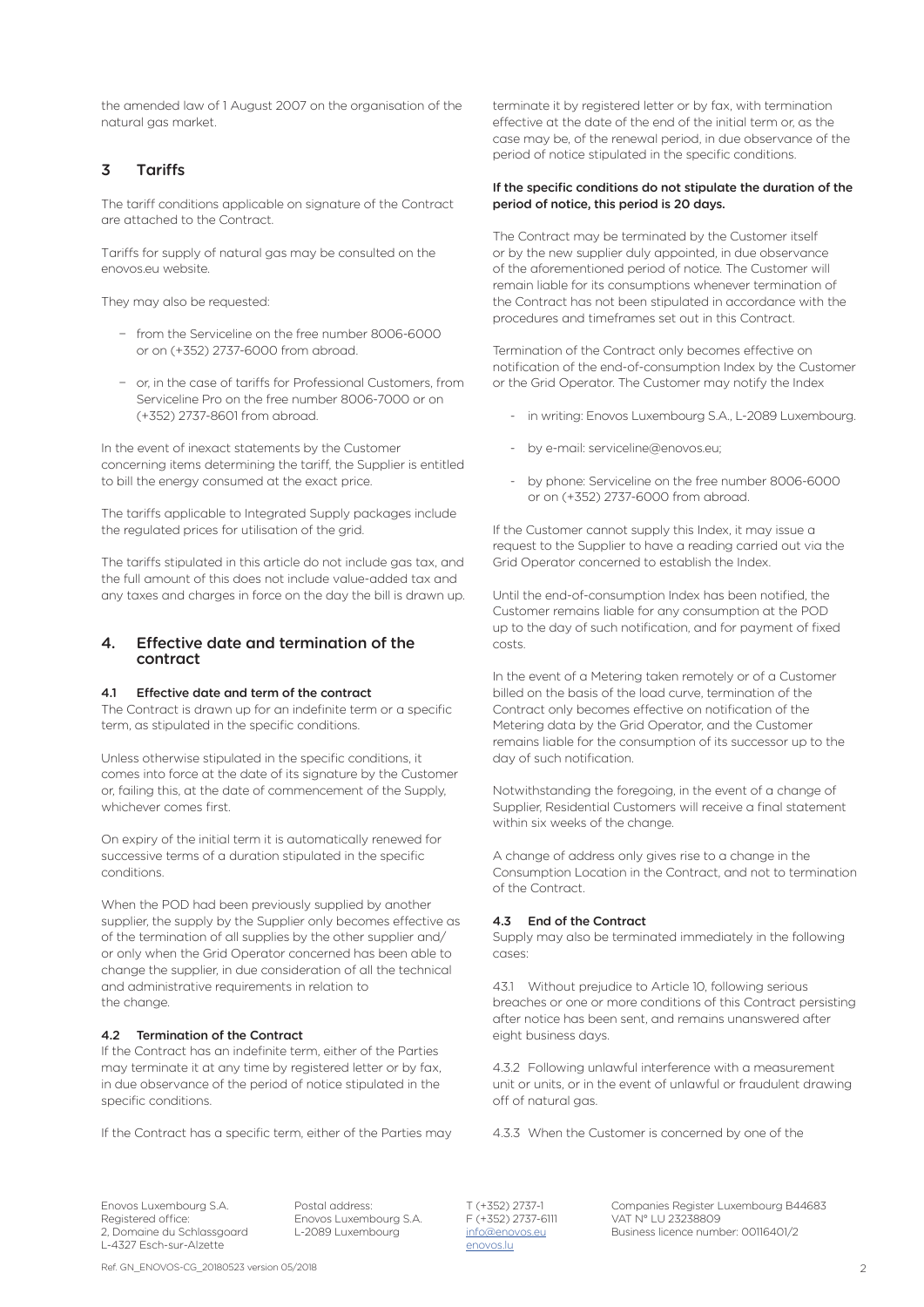the amended law of 1 August 2007 on the organisation of the natural gas market.

# 3 Tariffs

The tariff conditions applicable on signature of the Contract are attached to the Contract.

Tariffs for supply of natural gas may be consulted on the enovos.eu website.

They may also be requested:

- − from the Serviceline on the free number 8006-6000 or on (+352) 2737-6000 from abroad.
- − or, in the case of tariffs for Professional Customers, from Serviceline Pro on the free number 8006-7000 or on (+352) 2737-8601 from abroad.

In the event of inexact statements by the Customer concerning items determining the tariff, the Supplier is entitled to bill the energy consumed at the exact price.

The tariffs applicable to Integrated Supply packages include the regulated prices for utilisation of the grid.

The tariffs stipulated in this article do not include gas tax, and the full amount of this does not include value-added tax and any taxes and charges in force on the day the bill is drawn up.

### 4. Effective date and termination of the contract

### 4.1 Effective date and term of the contract

The Contract is drawn up for an indefinite term or a specific term, as stipulated in the specific conditions.

Unless otherwise stipulated in the specific conditions, it comes into force at the date of its signature by the Customer or, failing this, at the date of commencement of the Supply, whichever comes first.

On expiry of the initial term it is automatically renewed for successive terms of a duration stipulated in the specific conditions.

When the POD had been previously supplied by another supplier, the supply by the Supplier only becomes effective as of the termination of all supplies by the other supplier and/ or only when the Grid Operator concerned has been able to change the supplier, in due consideration of all the technical and administrative requirements in relation to the change.

### 4.2 Termination of the Contract

If the Contract has an indefinite term, either of the Parties may terminate it at any time by registered letter or by fax, in due observance of the period of notice stipulated in the specific conditions.

If the Contract has a specific term, either of the Parties may

Registered office: The Enovos Luxembourg S.A. F (+352) 2737-61<br>2, Domaine du Schlassgoard L-2089 Luxembourg and <u>info@enovos.eu</u> L-4327 Esch-sur-Alzette

terminate it by registered letter or by fax, with termination effective at the date of the end of the initial term or, as the case may be, of the renewal period, in due observance of the period of notice stipulated in the specific conditions.

### If the specific conditions do not stipulate the duration of the period of notice, this period is 20 days.

The Contract may be terminated by the Customer itself or by the new supplier duly appointed, in due observance of the aforementioned period of notice. The Customer will remain liable for its consumptions whenever termination of the Contract has not been stipulated in accordance with the procedures and timeframes set out in this Contract.

Termination of the Contract only becomes effective on notification of the end-of-consumption Index by the Customer or the Grid Operator. The Customer may notify the Index

- in writing: Enovos Luxembourg S.A., L-2089 Luxembourg.
- by e-mail: serviceline@enovos.eu;
- by phone: Serviceline on the free number 8006-6000 or on (+352) 2737-6000 from abroad.

If the Customer cannot supply this Index, it may issue a request to the Supplier to have a reading carried out via the Grid Operator concerned to establish the Index.

Until the end-of-consumption Index has been notified, the Customer remains liable for any consumption at the POD up to the day of such notification, and for payment of fixed costs.

In the event of a Metering taken remotely or of a Customer billed on the basis of the load curve, termination of the Contract only becomes effective on notification of the Metering data by the Grid Operator, and the Customer remains liable for the consumption of its successor up to the day of such notification.

Notwithstanding the foregoing, in the event of a change of Supplier, Residential Customers will receive a final statement within six weeks of the change.

A change of address only gives rise to a change in the Consumption Location in the Contract, and not to termination of the Contract.

### 4.3 End of the Contract

Supply may also be terminated immediately in the following cases:

43.1 Without prejudice to Article 10, following serious breaches or one or more conditions of this Contract persisting after notice has been sent, and remains unanswered after eight business days.

4.3.2 Following unlawful interference with a measurement unit or units, or in the event of unlawful or fraudulent drawing off of natural gas.

4.3.3 When the Customer is concerned by one of the

Ref. GN\_ENOVOS-CG\_20180523 version 05/2018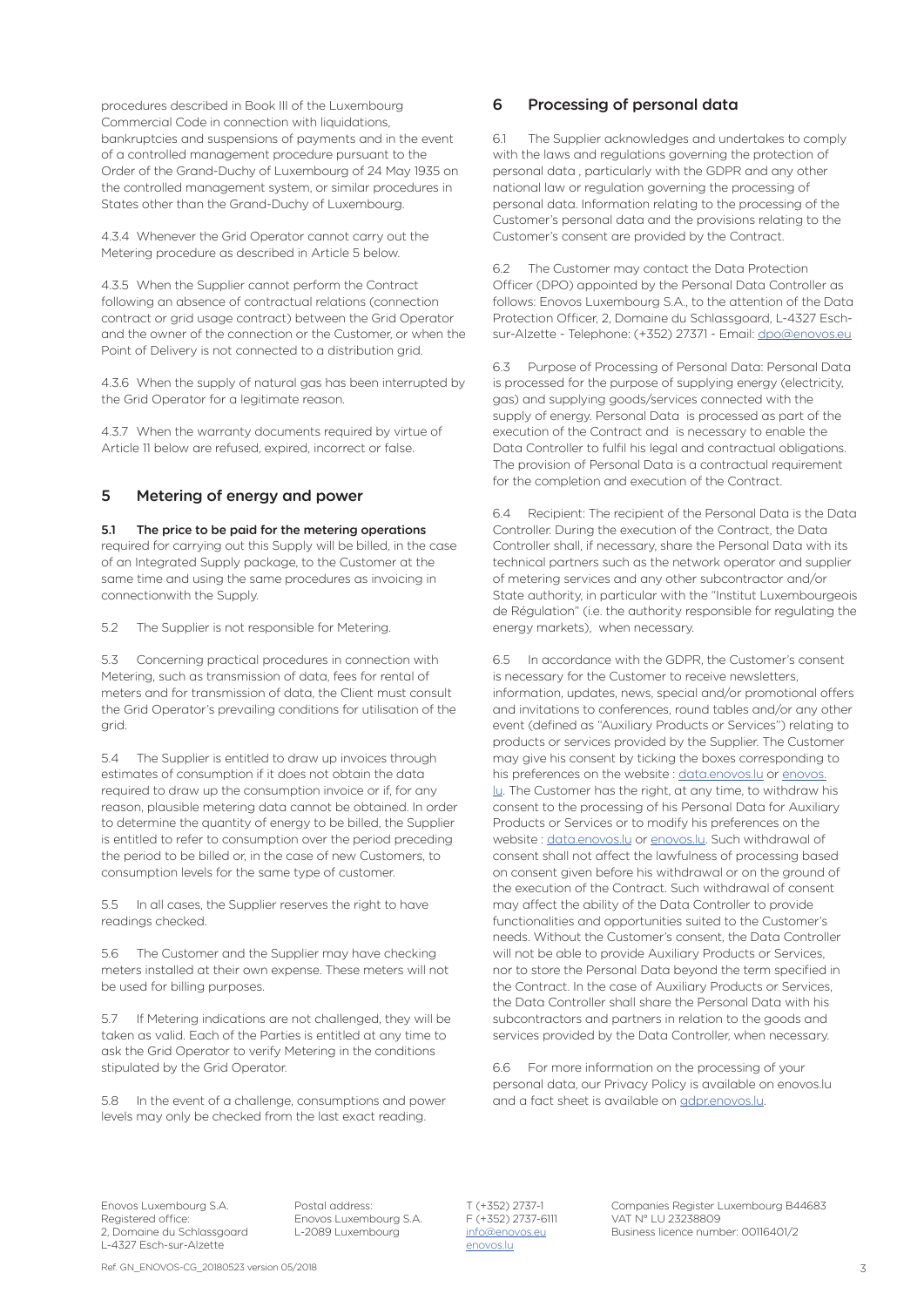procedures described in Book III of the Luxembourg Commercial Code in connection with liquidations, bankruptcies and suspensions of payments and in the event of a controlled management procedure pursuant to the Order of the Grand-Duchy of Luxembourg of 24 May 1935 on the controlled management system, or similar procedures in States other than the Grand-Duchy of Luxembourg.

4.3.4 Whenever the Grid Operator cannot carry out the Metering procedure as described in Article 5 below.

4.3.5 When the Supplier cannot perform the Contract following an absence of contractual relations (connection contract or grid usage contract) between the Grid Operator and the owner of the connection or the Customer, or when the Point of Delivery is not connected to a distribution grid.

4.3.6 When the supply of natural gas has been interrupted by the Grid Operator for a legitimate reason.

4.3.7 When the warranty documents required by virtue of Article 11 below are refused, expired, incorrect or false.

# 5 Metering of energy and power

5.1 The price to be paid for the metering operations required for carrying out this Supply will be billed, in the case of an Integrated Supply package, to the Customer at the same time and using the same procedures as invoicing in connectionwith the Supply.

5.2 The Supplier is not responsible for Metering.

5.3 Concerning practical procedures in connection with Metering, such as transmission of data, fees for rental of meters and for transmission of data, the Client must consult the Grid Operator's prevailing conditions for utilisation of the grid.

5.4 The Supplier is entitled to draw up invoices through estimates of consumption if it does not obtain the data required to draw up the consumption invoice or if, for any reason, plausible metering data cannot be obtained. In order to determine the quantity of energy to be billed, the Supplier is entitled to refer to consumption over the period preceding the period to be billed or, in the case of new Customers, to consumption levels for the same type of customer.

5.5 In all cases, the Supplier reserves the right to have readings checked.

5.6 The Customer and the Supplier may have checking meters installed at their own expense. These meters will not be used for billing purposes.

5.7 If Metering indications are not challenged, they will be taken as valid. Each of the Parties is entitled at any time to ask the Grid Operator to verify Metering in the conditions stipulated by the Grid Operator.

5.8 In the event of a challenge, consumptions and power levels may only be checked from the last exact reading.

# 6 Processing of personal data

6.1 The Supplier acknowledges and undertakes to comply with the laws and regulations governing the protection of personal data , particularly with the GDPR and any other national law or regulation governing the processing of personal data. Information relating to the processing of the Customer's personal data and the provisions relating to the Customer's consent are provided by the Contract.

6.2 The Customer may contact the Data Protection Officer (DPO) appointed by the Personal Data Controller as follows: Enovos Luxembourg S.A., to the attention of the Data Protection Officer, 2, Domaine du Schlassgoard, L-4327 Eschsur-Alzette - Telephone: (+352) 27371 - Email: dpo@enovos.eu

6.3 Purpose of Processing of Personal Data: Personal Data is processed for the purpose of supplying energy (electricity, gas) and supplying goods/services connected with the supply of energy. Personal Data is processed as part of the execution of the Contract and is necessary to enable the Data Controller to fulfil his legal and contractual obligations. The provision of Personal Data is a contractual requirement for the completion and execution of the Contract.

6.4 Recipient: The recipient of the Personal Data is the Data Controller. During the execution of the Contract, the Data Controller shall, if necessary, share the Personal Data with its technical partners such as the network operator and supplier of metering services and any other subcontractor and/or State authority, in particular with the "Institut Luxembourgeois de Régulation" (i.e. the authority responsible for regulating the energy markets), when necessary.

6.5 In accordance with the GDPR, the Customer's consent is necessary for the Customer to receive newsletters, information, updates, news, special and/or promotional offers and invitations to conferences, round tables and/or any other event (defined as "Auxiliary Products or Services") relating to products or services provided by the Supplier. The Customer may give his consent by ticking the boxes corresponding to his preferences on the website : data.enovos.lu or enovos. lu. The Customer has the right, at any time, to withdraw his consent to the processing of his Personal Data for Auxiliary Products or Services or to modify his preferences on the website : data.enovos.lu or enovos.lu. Such withdrawal of consent shall not affect the lawfulness of processing based on consent given before his withdrawal or on the ground of the execution of the Contract. Such withdrawal of consent may affect the ability of the Data Controller to provide functionalities and opportunities suited to the Customer's needs. Without the Customer's consent, the Data Controller will not be able to provide Auxiliary Products or Services, nor to store the Personal Data beyond the term specified in the Contract. In the case of Auxiliary Products or Services, the Data Controller shall share the Personal Data with his subcontractors and partners in relation to the goods and services provided by the Data Controller, when necessary.

6.6 For more information on the processing of your personal data, our Privacy Policy is available on enovos.lu and a fact sheet is available on gdpr.enovos.lu.

Registered office: Enovos Luxembourg S.A.<br>2, Domaine du Schlassgoard L-2089 Luxembourg L-4327 Esch-sur-Alzette enovos.lu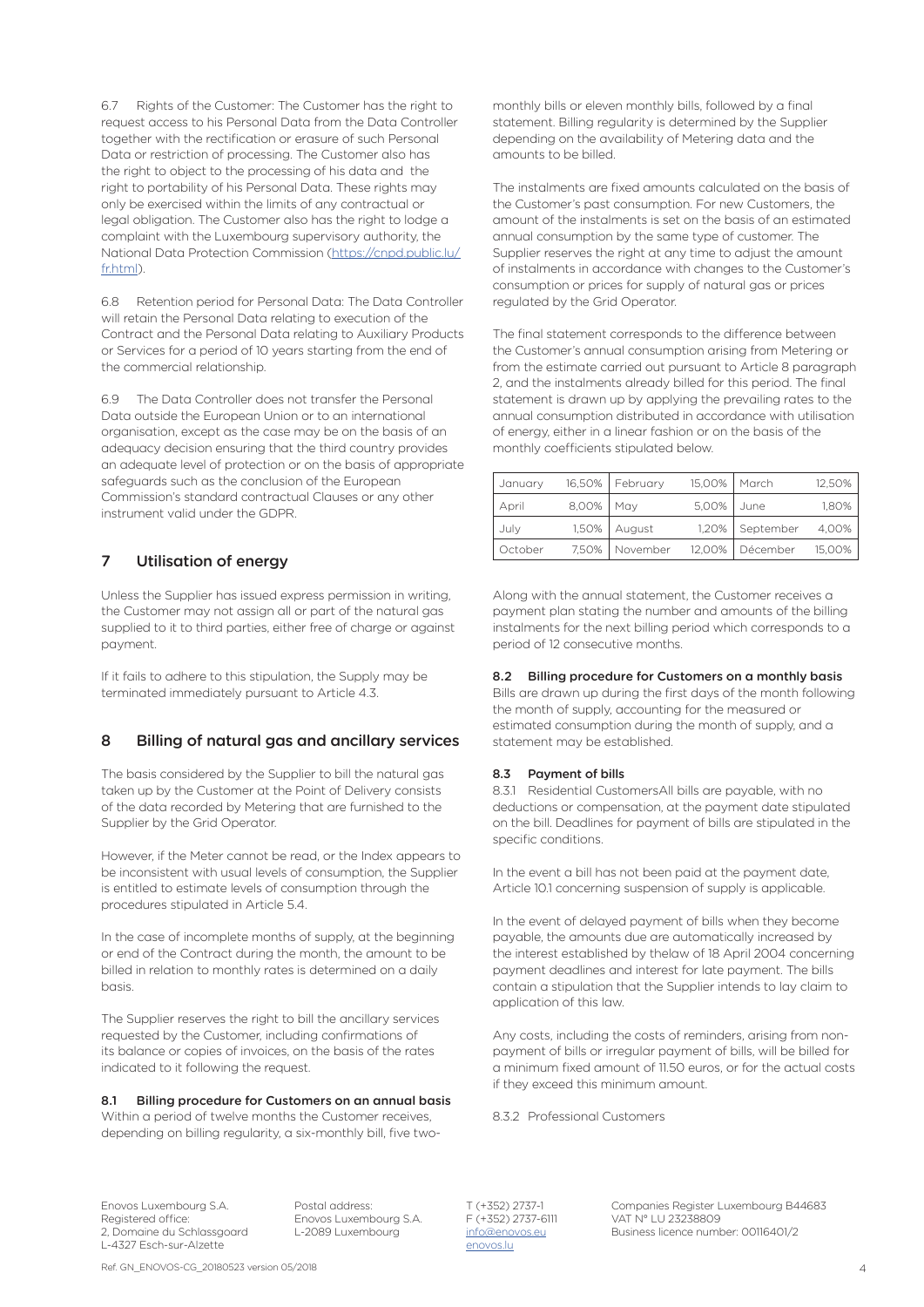6.7 Rights of the Customer: The Customer has the right to request access to his Personal Data from the Data Controller together with the rectification or erasure of such Personal Data or restriction of processing. The Customer also has the right to object to the processing of his data and the right to portability of his Personal Data. These rights may only be exercised within the limits of any contractual or legal obligation. The Customer also has the right to lodge a complaint with the Luxembourg supervisory authority, the National Data Protection Commission (https://cnpd.public.lu/ fr.html

6.8 Retention period for Personal Data: The Data Controller will retain the Personal Data relating to execution of the Contract and the Personal Data relating to Auxiliary Products or Services for a period of 10 years starting from the end of the commercial relationship.

6.9 The Data Controller does not transfer the Personal Data outside the European Union or to an international organisation, except as the case may be on the basis of an adequacy decision ensuring that the third country provides an adequate level of protection or on the basis of appropriate safeguards such as the conclusion of the European Commission's standard contractual Clauses or any other instrument valid under the GDPR.

# 7 Utilisation of energy

Unless the Supplier has issued express permission in writing, the Customer may not assign all or part of the natural gas supplied to it to third parties, either free of charge or against payment.

If it fails to adhere to this stipulation, the Supply may be terminated immediately pursuant to Article 4.3.

# 8 Billing of natural gas and ancillary services

The basis considered by the Supplier to bill the natural gas taken up by the Customer at the Point of Delivery consists of the data recorded by Metering that are furnished to the Supplier by the Grid Operator.

However, if the Meter cannot be read, or the Index appears to be inconsistent with usual levels of consumption, the Supplier is entitled to estimate levels of consumption through the procedures stipulated in Article 5.4.

In the case of incomplete months of supply, at the beginning or end of the Contract during the month, the amount to be billed in relation to monthly rates is determined on a daily basis.

The Supplier reserves the right to bill the ancillary services requested by the Customer, including confirmations of its balance or copies of invoices, on the basis of the rates indicated to it following the request.

#### 8.1 Billing procedure for Customers on an annual basis

Within a period of twelve months the Customer receives depending on billing regularity, a six-monthly bill, five twomonthly bills or eleven monthly bills, followed by a final statement. Billing regularity is determined by the Supplier depending on the availability of Metering data and the amounts to be billed.

The instalments are fixed amounts calculated on the basis of the Customer's past consumption. For new Customers, the amount of the instalments is set on the basis of an estimated annual consumption by the same type of customer. The Supplier reserves the right at any time to adjust the amount of instalments in accordance with changes to the Customer's consumption or prices for supply of natural gas or prices regulated by the Grid Operator.

The final statement corresponds to the difference between the Customer's annual consumption arising from Metering or from the estimate carried out pursuant to Article 8 paragraph 2, and the instalments already billed for this period. The final statement is drawn up by applying the prevailing rates to the annual consumption distributed in accordance with utilisation of energy, either in a linear fashion or on the basis of the monthly coefficients stipulated below.

| January | 16,50% | February | 15.00% | March     | 12,50% |
|---------|--------|----------|--------|-----------|--------|
| April   | 8,00%  | May      | 5.00%  | June      | 1,80%  |
| July    | 1,50%  | August   | 1.20%  | September | 4.00%  |
| October | 7.50%  | November | 12,00% | Décember  | 15,00% |

Along with the annual statement, the Customer receives a payment plan stating the number and amounts of the billing instalments for the next billing period which corresponds to a period of 12 consecutive months.

#### 8.2 Billing procedure for Customers on a monthly basis

Bills are drawn up during the first days of the month following the month of supply, accounting for the measured or estimated consumption during the month of supply, and a statement may be established.

### 8.3 Payment of bills

8.3.1 Residential CustomersAll bills are payable, with no deductions or compensation, at the payment date stipulated on the bill. Deadlines for payment of bills are stipulated in the specific conditions.

In the event a bill has not been paid at the payment date, Article 10.1 concerning suspension of supply is applicable.

In the event of delayed payment of bills when they become payable, the amounts due are automatically increased by the interest established by thelaw of 18 April 2004 concerning payment deadlines and interest for late payment. The bills contain a stipulation that the Supplier intends to lay claim to application of this law.

Any costs, including the costs of reminders, arising from nonpayment of bills or irregular payment of bills, will be billed for a minimum fixed amount of 11.50 euros, or for the actual costs if they exceed this minimum amount.

8.3.2 Professional Customers

Registered office: Enovos Luxembourg S.A.<br>2, Domaine du Schlassgoard L-2089 Luxembourg L-4327 Esch-sur-Alzette enovos.lu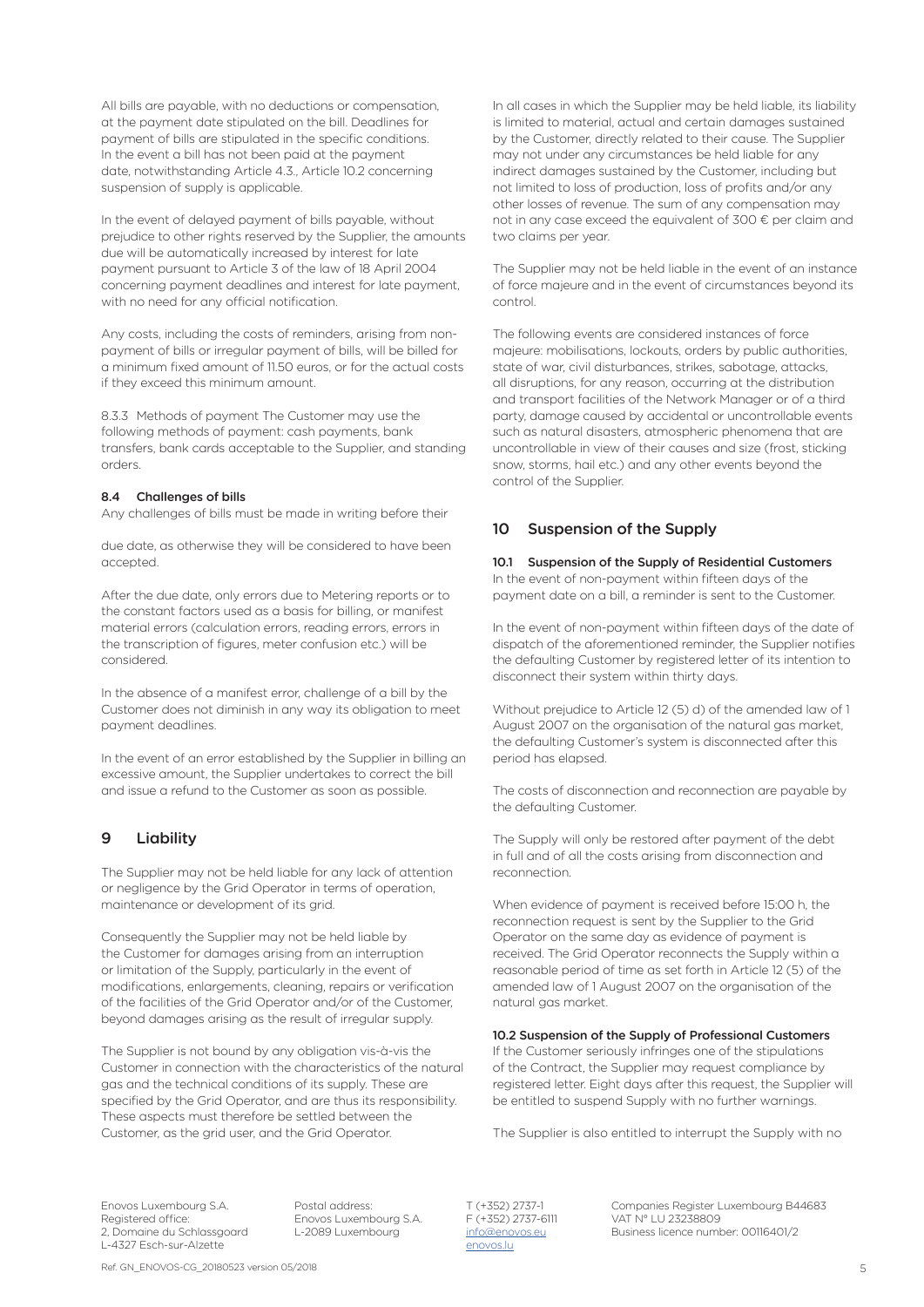All bills are payable, with no deductions or compensation, at the payment date stipulated on the bill. Deadlines for payment of bills are stipulated in the specific conditions. In the event a bill has not been paid at the payment date, notwithstanding Article 4.3., Article 10.2 concerning suspension of supply is applicable.

In the event of delayed payment of bills payable, without prejudice to other rights reserved by the Supplier, the amounts due will be automatically increased by interest for late payment pursuant to Article 3 of the law of 18 April 2004 concerning payment deadlines and interest for late payment, with no need for any official notification.

Any costs, including the costs of reminders, arising from nonpayment of bills or irregular payment of bills, will be billed for a minimum fixed amount of 11.50 euros, or for the actual costs if they exceed this minimum amount.

8.3.3 Methods of payment The Customer may use the following methods of payment: cash payments, bank transfers, bank cards acceptable to the Supplier, and standing orders.

#### 8.4 Challenges of bills

Any challenges of bills must be made in writing before their

due date, as otherwise they will be considered to have been accepted.

After the due date, only errors due to Metering reports or to the constant factors used as a basis for billing, or manifest material errors (calculation errors, reading errors, errors in the transcription of figures, meter confusion etc.) will be considered.

In the absence of a manifest error, challenge of a bill by the Customer does not diminish in any way its obligation to meet payment deadlines.

In the event of an error established by the Supplier in billing an excessive amount, the Supplier undertakes to correct the bill and issue a refund to the Customer as soon as possible.

# 9 Liability

The Supplier may not be held liable for any lack of attention or negligence by the Grid Operator in terms of operation, maintenance or development of its grid.

Consequently the Supplier may not be held liable by the Customer for damages arising from an interruption or limitation of the Supply, particularly in the event of modifications, enlargements, cleaning, repairs or verification of the facilities of the Grid Operator and/or of the Customer, beyond damages arising as the result of irregular supply.

The Supplier is not bound by any obligation vis-à-vis the Customer in connection with the characteristics of the natural gas and the technical conditions of its supply. These are specified by the Grid Operator, and are thus its responsibility. These aspects must therefore be settled between the Customer, as the grid user, and the Grid Operator.

In all cases in which the Supplier may be held liable, its liability is limited to material, actual and certain damages sustained by the Customer, directly related to their cause. The Supplier may not under any circumstances be held liable for any indirect damages sustained by the Customer, including but not limited to loss of production, loss of profits and/or any other losses of revenue. The sum of any compensation may not in any case exceed the equivalent of 300 € per claim and two claims per year.

The Supplier may not be held liable in the event of an instance of force majeure and in the event of circumstances beyond its control.

The following events are considered instances of force majeure: mobilisations, lockouts, orders by public authorities, state of war, civil disturbances, strikes, sabotage, attacks, all disruptions, for any reason, occurring at the distribution and transport facilities of the Network Manager or of a third party, damage caused by accidental or uncontrollable events such as natural disasters, atmospheric phenomena that are uncontrollable in view of their causes and size (frost, sticking snow, storms, hail etc.) and any other events beyond the control of the Supplier.

### 10 Suspension of the Supply

10.1 Suspension of the Supply of Residential Customers In the event of non-payment within fifteen days of the payment date on a bill, a reminder is sent to the Customer.

In the event of non-payment within fifteen days of the date of dispatch of the aforementioned reminder, the Supplier notifies the defaulting Customer by registered letter of its intention to disconnect their system within thirty days.

Without prejudice to Article 12 (5) d) of the amended law of 1 August 2007 on the organisation of the natural gas market, the defaulting Customer's system is disconnected after this period has elapsed.

The costs of disconnection and reconnection are payable by the defaulting Customer.

The Supply will only be restored after payment of the debt in full and of all the costs arising from disconnection and reconnection.

When evidence of payment is received before 15:00 h, the reconnection request is sent by the Supplier to the Grid Operator on the same day as evidence of payment is received. The Grid Operator reconnects the Supply within a reasonable period of time as set forth in Article 12 (5) of the amended law of 1 August 2007 on the organisation of the natural gas market.

#### 10.2 Suspension of the Supply of Professional Customers

If the Customer seriously infringes one of the stipulations of the Contract, the Supplier may request compliance by registered letter. Eight days after this request, the Supplier will be entitled to suspend Supply with no further warnings.

The Supplier is also entitled to interrupt the Supply with no

Registered office: Enovos Luxembourg S.A.<br>2, Domaine du Schlassgoard L-2089 Luxembourg L-4327 Esch-sur-Alzette enovos.lu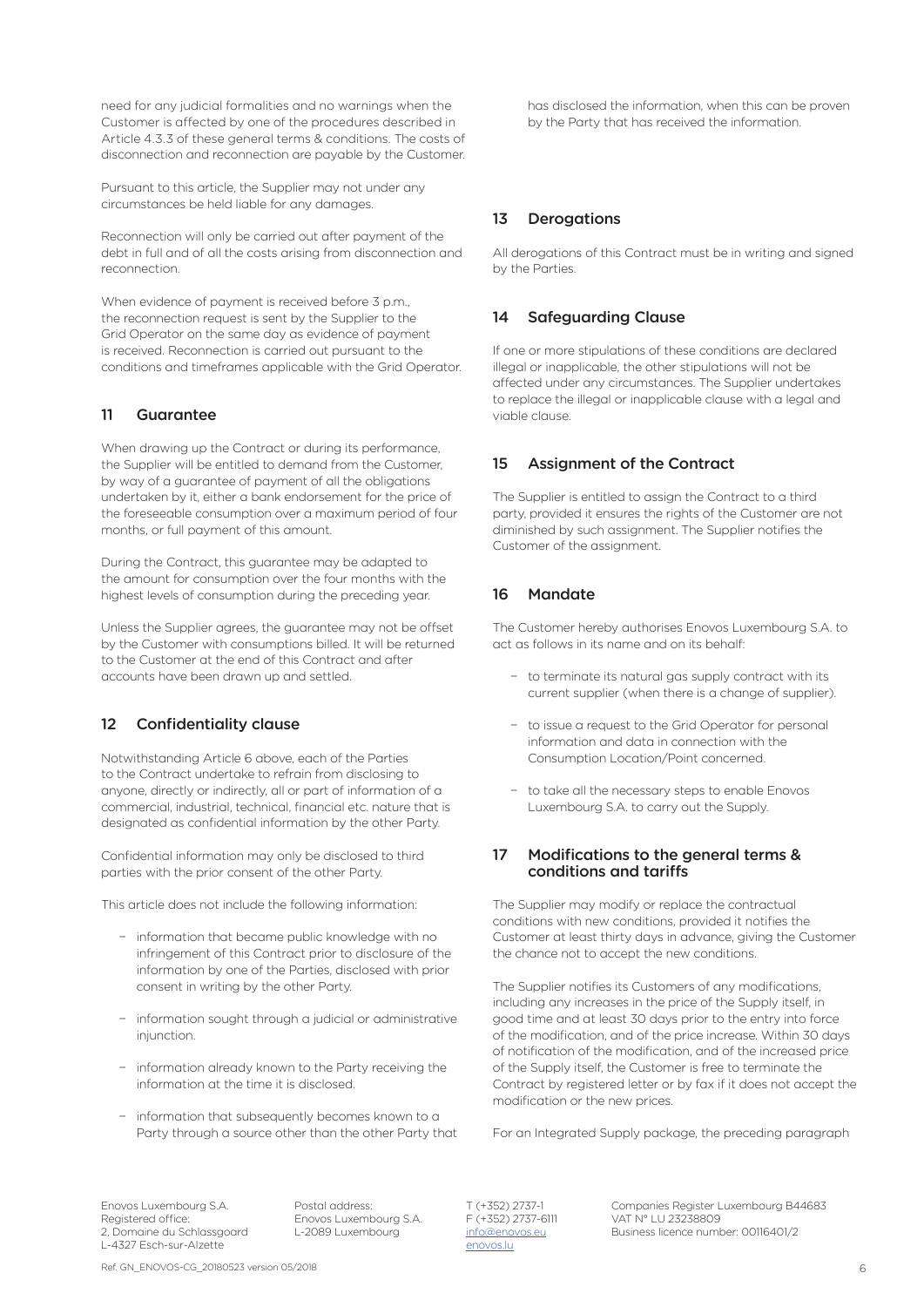need for any judicial formalities and no warnings when the Customer is affected by one of the procedures described in Article 4.3.3 of these general terms & conditions. The costs of disconnection and reconnection are payable by the Customer.

Pursuant to this article, the Supplier may not under any circumstances be held liable for any damages.

Reconnection will only be carried out after payment of the debt in full and of all the costs arising from disconnection and reconnection.

When evidence of payment is received before 3 p.m., the reconnection request is sent by the Supplier to the Grid Operator on the same day as evidence of payment is received. Reconnection is carried out pursuant to the conditions and timeframes applicable with the Grid Operator.

# 11 Guarantee

When drawing up the Contract or during its performance, the Supplier will be entitled to demand from the Customer, by way of a guarantee of payment of all the obligations undertaken by it, either a bank endorsement for the price of the foreseeable consumption over a maximum period of four months, or full payment of this amount.

During the Contract, this guarantee may be adapted to the amount for consumption over the four months with the highest levels of consumption during the preceding year.

Unless the Supplier agrees, the guarantee may not be offset by the Customer with consumptions billed. It will be returned to the Customer at the end of this Contract and after accounts have been drawn up and settled.

# 12 Confidentiality clause

Notwithstanding Article 6 above, each of the Parties to the Contract undertake to refrain from disclosing to anyone, directly or indirectly, all or part of information of a commercial, industrial, technical, financial etc. nature that is designated as confidential information by the other Party.

Confidential information may only be disclosed to third parties with the prior consent of the other Party.

This article does not include the following information:

- − information that became public knowledge with no infringement of this Contract prior to disclosure of the information by one of the Parties, disclosed with prior consent in writing by the other Party.
- information sought through a judicial or administrative injunction.
- − information already known to the Party receiving the information at the time it is disclosed.
- − information that subsequently becomes known to a Party through a source other than the other Party that

has disclosed the information, when this can be proven by the Party that has received the information.

# 13 Derogations

All derogations of this Contract must be in writing and signed by the Parties.

# 14 Safeguarding Clause

If one or more stipulations of these conditions are declared illegal or inapplicable, the other stipulations will not be affected under any circumstances. The Supplier undertakes to replace the illegal or inapplicable clause with a legal and viable clause.

# 15 Assignment of the Contract

The Supplier is entitled to assign the Contract to a third party, provided it ensures the rights of the Customer are not diminished by such assignment. The Supplier notifies the Customer of the assignment.

# 16 Mandate

The Customer hereby authorises Enovos Luxembourg S.A. to act as follows in its name and on its behalf:

- − to terminate its natural gas supply contract with its current supplier (when there is a change of supplier).
- − to issue a request to the Grid Operator for personal information and data in connection with the Consumption Location/Point concerned.
- − to take all the necessary steps to enable Enovos Luxembourg S.A. to carry out the Supply.

### 17 Modifications to the general terms & conditions and tariffs

The Supplier may modify or replace the contractual conditions with new conditions, provided it notifies the Customer at least thirty days in advance, giving the Customer the chance not to accept the new conditions.

The Supplier notifies its Customers of any modifications, including any increases in the price of the Supply itself, in good time and at least 30 days prior to the entry into force of the modification, and of the price increase. Within 30 days of notification of the modification, and of the increased price of the Supply itself, the Customer is free to terminate the Contract by registered letter or by fax if it does not accept the modification or the new prices.

For an Integrated Supply package, the preceding paragraph

Registered office: Enovos Luxembourg S.A.<br>2, Domaine du Schlassgoard L-2089 Luxembourg L-4327 Esch-sur-Alzette enovos.lu